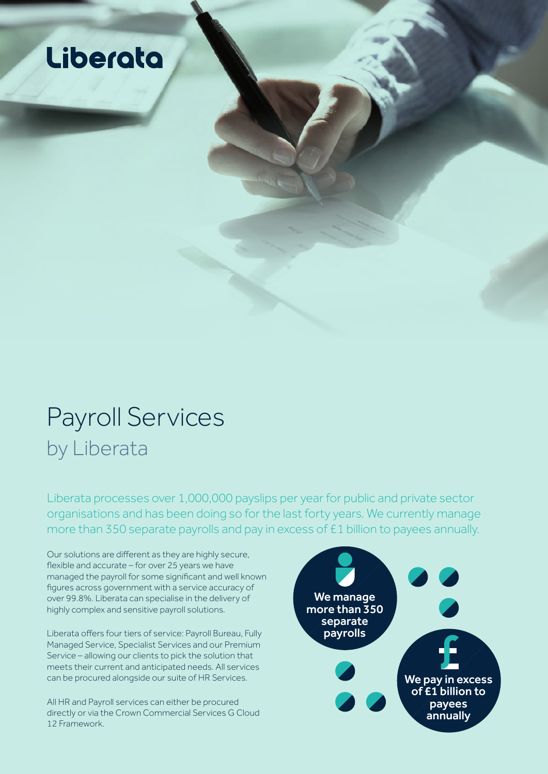## Liberata

## Payroll Services by Liberata

Liberata processes over 1,000,000 payslips per year for public and private sector organisations and has been doing so for the last forty years. We currently manage more than 350 separate payrolls and pay in excess of £1 billion to payees annually.

Our solutions are different as they are highly secure, flexible and accurate – for over 25 years we have managed the payroll for some significant and well known figures across government with a service accuracy of over 99.8%. Liberata can specialise in the delivery of highly complex and sensitive payroll solutions.

Liberata offers four tiers of service: Payroll Bureau, Fully Managed Service, Specialist Services and our Premium Service – allowing our clients to pick the solution that meets their current and anticipated needs. All services can be procured alongside our suite of HR Services.

All HR and Payroll services can either be procured directly or via the Crown Commercial Services G Cloud 12 Framework.